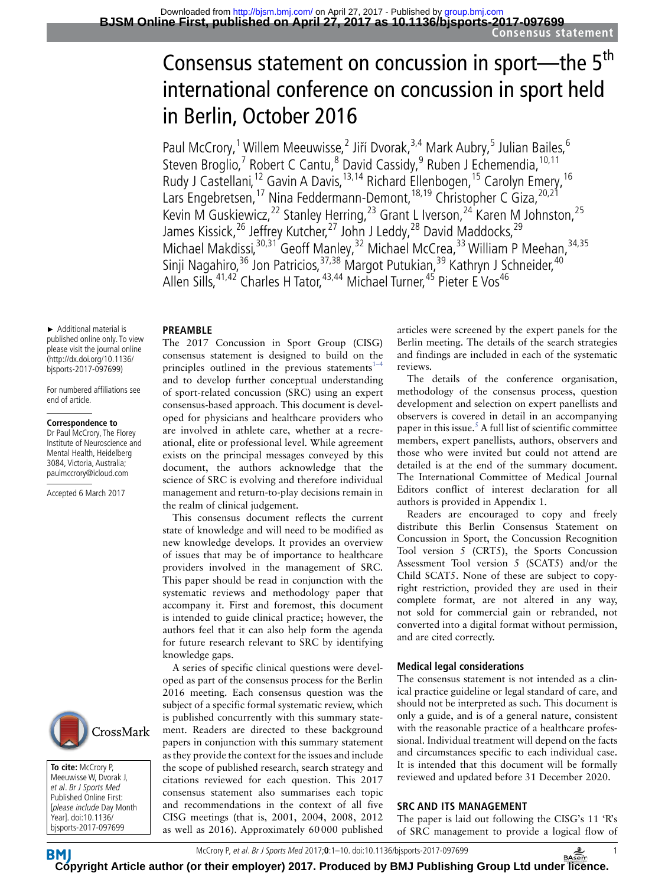# Consensus statement on concussion in sport—the 5<sup>th</sup> international conference on concussion in sport held in Berlin, October 2016

Paul McCrory,<sup>1</sup> Willem Meeuwisse,<sup>2</sup> Jiří Dvorak,<sup>3,4</sup> Mark Aubry,<sup>5</sup> Julian Bailes,<sup>6</sup> Steven Broglio,<sup>7</sup> Robert C Cantu,<sup>8</sup> David Cassidy,<sup>9</sup> Ruben J Echemendia, <sup>10,11</sup> Rudy J Castellani,<sup>12</sup> Gavin A Davis,<sup>13,14</sup> Richard Ellenbogen,<sup>15</sup> Carolyn Emery,<sup>16</sup> Lars Engebretsen,<sup>17</sup> Nina Feddermann-Demont,<sup>18,19</sup> Christopher C Giza,<sup>20,21</sup> Kevin M Guskiewicz,<sup>22</sup> Stanley Herring,<sup>23</sup> Grant L Iverson,<sup>24</sup> Karen M Johnston,<sup>25</sup> James Kissick,<sup>26</sup> Jeffrey Kutcher,<sup>27</sup> John J Leddy,<sup>28</sup> David Maddocks,<sup>29</sup> Michael Makdissi,<sup>30,31</sup> Geoff Manley,<sup>32</sup> Michael McCrea,<sup>33</sup> William P Meehan,<sup>34,35</sup> Sinji Nagahiro,<sup>36</sup> Jon Patricios,<sup>37,38</sup> Margot Putukian,<sup>39</sup> Kathryn J Schneider,<sup>40</sup> Allen Sills, <sup>41,42</sup> Charles H Tator, <sup>43,44</sup> Michael Turner, <sup>45</sup> Pieter E Vos<sup>46</sup>

#### **PREAMBLE**

The 2017 Concussion in Sport Group (CISG) consensus statement is designed to build on the principles outlined in the previous statements<sup>1–1</sup> and to develop further conceptual understanding of sport-related concussion (SRC) using an expert consensus-based approach. This document is developed for physicians and healthcare providers who are involved in athlete care, whether at a recreational, elite or professional level. While agreement exists on the principal messages conveyed by this document, the authors acknowledge that the science of SRC is evolving and therefore individual management and return-to-play decisions remain in the realm of clinical judgement.

This consensus document reflects the current state of knowledge and will need to be modified as new knowledge develops. It provides an overview of issues that may be of importance to healthcare providers involved in the management of SRC. This paper should be read in conjunction with the systematic reviews and methodology paper that accompany it. First and foremost, this document is intended to guide clinical practice; however, the authors feel that it can also help form the agenda for future research relevant to SRC by identifying knowledge gaps.

A series of specific clinical questions were developed as part of the consensus process for the Berlin 2016 meeting. Each consensus question was the subject of a specific formal systematic review, which is published concurrently with this summary statement. Readers are directed to these background papers in conjunction with this summary statement as they provide the context for the issues and include the scope of published research, search strategy and citations reviewed for each question. This 2017 consensus statement also summarises each topic and recommendations in the context of all five CISG meetings (that is, 2001, 2004, 2008, 2012 as well as 2016). Approximately 60000 published articles were screened by the expert panels for the Berlin meeting. The details of the search strategies and findings are included in each of the systematic reviews.

The details of the conference organisation, methodology of the consensus process, question development and selection on expert panellists and observers is covered in detail in an accompanying paper in this issue.<sup>5</sup> A full list of scientific committee members, expert panellists, authors, observers and those who were invited but could not attend are detailed is at the end of the summary document. The International Committee of Medical Journal Editors conflict of interest declaration for all authors is provided in Appendix 1.

Readers are encouraged to copy and freely distribute this Berlin Consensus Statement on Concussion in Sport, the Concussion Recognition Tool version 5 (CRT5), the Sports Concussion Assessment Tool version 5 (SCAT5) and/or the Child SCAT5. None of these are subject to copyright restriction, provided they are used in their complete format, are not altered in any way, not sold for commercial gain or rebranded, not converted into a digital format without permission, and are cited correctly.

#### **Medical legal considerations**

The consensus statement is not intended as a clinical practice guideline or legal standard of care, and should not be interpreted as such. This document is only a guide, and is of a general nature, consistent with the reasonable practice of a healthcare professional. Individual treatment will depend on the facts and circumstances specific to each individual case. It is intended that this document will be formally reviewed and updated before 31 December 2020.

# **SRC AND ITS MANAGEMENT**

The paper is laid out following the CISG's 11 'R's of SRC management to provide a logical flow of



For numbered affiliations see end of article.

#### **Correspondence to**

Dr Paul McCrory, The Florey Institute of Neuroscience and Mental Health, Heidelberg 3084, Victoria, Australia; paulmccrory@icloud.com

Accepted 6 March 2017



**To cite:** McCrory P, Meeuwisse W, Dvorak J, et al. Br J Sports Med Published Online First: [please include Day Month Year]. doi:10.1136/ bjsports-2017-097699

McCrory P, et al. Br J Sports Med 2017;**0**:1–10. doi:10.1136/bjsports-2017-097699 1

**[Cop](http://bjsm.bmj.com/)yright Article author (or their employer) 2017. Produced by BMJ Publishing Group Ltd unde[r licen](http://www.basem.co.uk/)ce.**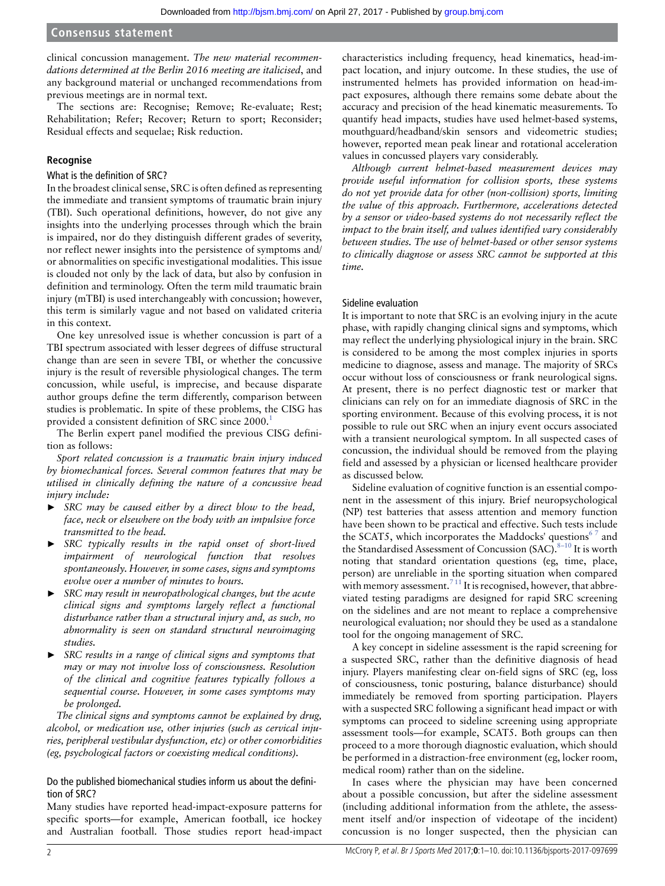clinical concussion management. *The new material recommendations determined at the Berlin 2016 meeting are italicised*, and any background material or unchanged recommendations from previous meetings are in normal text.

The sections are: Recognise; Remove; Re-evaluate; Rest; Rehabilitation; Refer; Recover; Return to sport; Reconsider; Residual effects and sequelae; Risk reduction.

# **Recognise**

#### What is the definition of SRC?

In the broadest clinical sense, SRC is often defined as representing the immediate and transient symptoms of traumatic brain injury (TBI). Such operational definitions, however, do not give any insights into the underlying processes through which the brain is impaired, nor do they distinguish different grades of severity, nor reflect newer insights into the persistence of symptoms and/ or abnormalities on specific investigational modalities. This issue is clouded not only by the lack of data, but also by confusion in definition and terminology. Often the term mild traumatic brain injury (mTBI) is used interchangeably with concussion; however, this term is similarly vague and not based on validated criteria in this context.

One key unresolved issue is whether concussion is part of a TBI spectrum associated with lesser degrees of diffuse structural change than are seen in severe TBI, or whether the concussive injury is the result of reversible physiological changes. The term concussion, while useful, is imprecise, and because disparate author groups define the term differently, comparison between studies is problematic. In spite of these problems, the CISG has provided a consistent definition of SRC since 2000.<sup>[1](#page-8-0)</sup>

The Berlin expert panel modified the previous CISG definition as follows:

*Sport related concussion is a traumatic brain injury induced by biomechanical forces. Several common features that may be utilised in clinically defining the nature of a concussive head injury include:*

- ► *SRC may be caused either by a direct blow to the head, face, neck or elsewhere on the body with an impulsive force transmitted to the head.*
- ► *SRC typically results in the rapid onset of short-lived impairment of neurological function that resolves spontaneously. However, in some cases, signs and symptoms evolve over a number of minutes to hours.*
- ► *SRC may result in neuropathological changes, but the acute clinical signs and symptoms largely reflect a functional disturbance rather than a structural injury and, as such, no abnormality is seen on standard structural neuroimaging studies.*
- ► *SRC results in a range of clinical signs and symptoms that may or may not involve loss of consciousness. Resolution of the clinical and cognitive features typically follows a sequential course. However, in some cases symptoms may be prolonged.*

*The clinical signs and symptoms cannot be explained by drug, alcohol, or medication use, other injuries (such as cervical injuries, peripheral vestibular dysfunction, etc) or other comorbidities (eg, psychological factors or coexisting medical conditions).*

# Do the published biomechanical studies inform us about the definition of SRC?

Many studies have reported head-impact-exposure patterns for specific sports—for example, American football, ice hockey and Australian football. Those studies report head-impact characteristics including frequency, head kinematics, head-impact location, and injury outcome. In these studies, the use of instrumented helmets has provided information on head-impact exposures, although there remains some debate about the accuracy and precision of the head kinematic measurements. To quantify head impacts, studies have used helmet-based systems, mouthguard/headband/skin sensors and videometric studies; however, reported mean peak linear and rotational acceleration values in concussed players vary considerably.

*Although current helmet-based measurement devices may provide useful information for collision sports, these systems do not yet provide data for other (non-collision) sports, limiting the value of this approach. Furthermore, accelerations detected by a sensor or video-based systems do not necessarily reflect the impact to the brain itself, and values identified vary considerably between studies. The use of helmet-based or other sensor systems to clinically diagnose or assess SRC cannot be supported at this time.*

#### Sideline evaluation

It is important to note that SRC is an evolving injury in the acute phase, with rapidly changing clinical signs and symptoms, which may reflect the underlying physiological injury in the brain. SRC is considered to be among the most complex injuries in sports medicine to diagnose, assess and manage. The majority of SRCs occur without loss of consciousness or frank neurological signs. At present, there is no perfect diagnostic test or marker that clinicians can rely on for an immediate diagnosis of SRC in the sporting environment. Because of this evolving process, it is not possible to rule out SRC when an injury event occurs associated with a transient neurological symptom. In all suspected cases of concussion, the individual should be removed from the playing field and assessed by a physician or licensed healthcare provider as discussed below.

Sideline evaluation of cognitive function is an essential component in the assessment of this injury. Brief neuropsychological (NP) test batteries that assess attention and memory function have been shown to be practical and effective. Such tests include the SCAT5, which incorporates the Maddocks' questions<sup>67</sup> and the Standardised Assessment of Concussion (SAC).  $8-10$  It is worth noting that standard orientation questions (eg, time, place, person) are unreliable in the sporting situation when compared with memory assessment.<sup>711</sup> It is recognised, however, that abbreviated testing paradigms are designed for rapid SRC screening on the sidelines and are not meant to replace a comprehensive neurological evaluation; nor should they be used as a standalone tool for the ongoing management of SRC.

A key concept in sideline assessment is the rapid screening for a suspected SRC, rather than the definitive diagnosis of head injury. Players manifesting clear on-field signs of SRC (eg, loss of consciousness, tonic posturing, balance disturbance) should immediately be removed from sporting participation. Players with a suspected SRC following a significant head impact or with symptoms can proceed to sideline screening using appropriate assessment tools—for example, SCAT5. Both groups can then proceed to a more thorough diagnostic evaluation, which should be performed in a distraction-free environment (eg, locker room, medical room) rather than on the sideline.

In cases where the physician may have been concerned about a possible concussion, but after the sideline assessment (including additional information from the athlete, the assessment itself and/or inspection of videotape of the incident) concussion is no longer suspected, then the physician can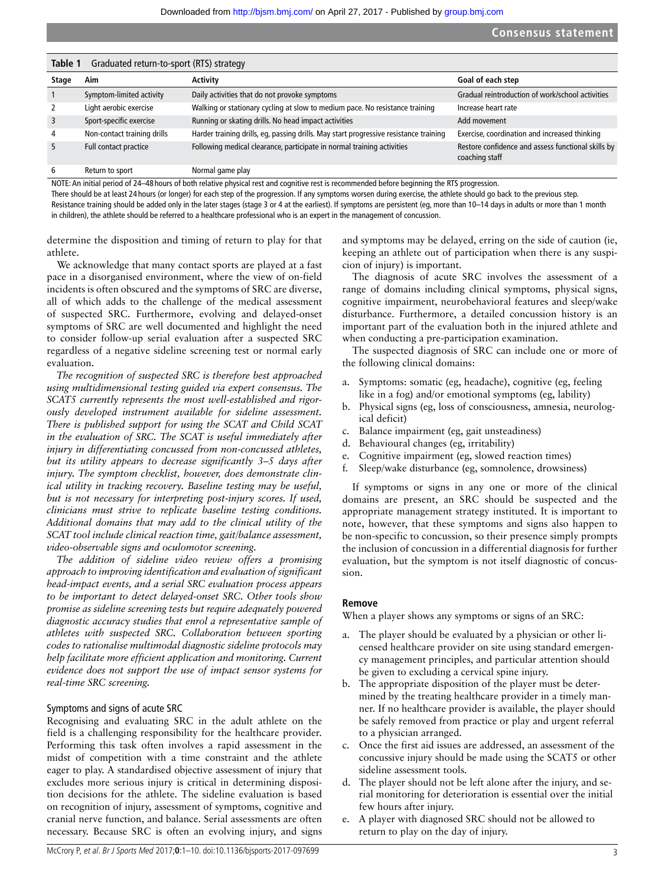<span id="page-2-0"></span>

| Table 1<br>Graduated return-to-sport (RTS) strategy |                             |                                                                                       |                                                                      |  |  |
|-----------------------------------------------------|-----------------------------|---------------------------------------------------------------------------------------|----------------------------------------------------------------------|--|--|
| Stage                                               | Aim                         | Activity                                                                              | Goal of each step                                                    |  |  |
|                                                     | Symptom-limited activity    | Daily activities that do not provoke symptoms                                         | Gradual reintroduction of work/school activities                     |  |  |
| 2                                                   | Light aerobic exercise      | Walking or stationary cycling at slow to medium pace. No resistance training          | Increase heart rate                                                  |  |  |
| 3                                                   | Sport-specific exercise     | Running or skating drills. No head impact activities                                  | Add movement                                                         |  |  |
| $\overline{4}$                                      | Non-contact training drills | Harder training drills, eg, passing drills. May start progressive resistance training | Exercise, coordination and increased thinking                        |  |  |
| 5                                                   | Full contact practice       | Following medical clearance, participate in normal training activities                | Restore confidence and assess functional skills by<br>coaching staff |  |  |
| 6                                                   | Return to sport             | Normal game play                                                                      |                                                                      |  |  |

NOTE: An initial period of 24–48 hours of both relative physical rest and cognitive rest is recommended before beginning the RTS progression.

There should be at least 24 hours (or longer) for each step of the progression. If any symptoms worsen during exercise, the athlete should go back to the previous step.

Resistance training should be added only in the later stages (stage 3 or 4 at the earliest). If symptoms are persistent (eg, more than 10-14 days in adults or more than 1 month in children), the athlete should be referred to a healthcare professional who is an expert in the management of concussion.

determine the disposition and timing of return to play for that athlete.

We acknowledge that many contact sports are played at a fast pace in a disorganised environment, where the view of on-field incidents is often obscured and the symptoms of SRC are diverse, all of which adds to the challenge of the medical assessment of suspected SRC. Furthermore, evolving and delayed-onset symptoms of SRC are well documented and highlight the need to consider follow-up serial evaluation after a suspected SRC regardless of a negative sideline screening test or normal early evaluation.

*The recognition of suspected SRC is therefore best approached using multidimensional testing guided via expert consensus. The SCAT5 currently represents the most well-established and rigorously developed instrument available for sideline assessment. There is published support for using the SCAT and Child SCAT in the evaluation of SRC. The SCAT is useful immediately after injury in differentiating concussed from non-concussed athletes, but its utility appears to decrease significantly 3–5 days after injury. The symptom checklist, however, does demonstrate clinical utility in tracking recovery. Baseline testing may be useful, but is not necessary for interpreting post-injury scores. If used, clinicians must strive to replicate baseline testing conditions. Additional domains that may add to the clinical utility of the SCAT tool include clinical reaction time, gait/balance assessment, video-observable signs and oculomotor screening.*

*The addition of sideline video review offers a promising approach to improving identification and evaluation of significant head-impact events, and a serial SRC evaluation process appears to be important to detect delayed-onset SRC. Other tools show promise as sideline screening tests but require adequately powered diagnostic accuracy studies that enrol a representative sample of athletes with suspected SRC. Collaboration between sporting codes to rationalise multimodal diagnostic sideline protocols may help facilitate more efficient application and monitoring. Current evidence does not support the use of impact sensor systems for real-time SRC screening.*

#### Symptoms and signs of acute SRC

Recognising and evaluating SRC in the adult athlete on the field is a challenging responsibility for the healthcare provider. Performing this task often involves a rapid assessment in the midst of competition with a time constraint and the athlete eager to play. A standardised objective assessment of injury that excludes more serious injury is critical in determining disposition decisions for the athlete. The sideline evaluation is based on recognition of injury, assessment of symptoms, cognitive and cranial nerve function, and balance. Serial assessments are often necessary. Because SRC is often an evolving injury, and signs

and symptoms may be delayed, erring on the side of caution (ie, keeping an athlete out of participation when there is any suspicion of injury) is important.

The diagnosis of acute SRC involves the assessment of a range of domains including clinical symptoms, physical signs, cognitive impairment, neurobehavioral features and sleep/wake disturbance. Furthermore, a detailed concussion history is an important part of the evaluation both in the injured athlete and when conducting a pre-participation examination.

The suspected diagnosis of SRC can include one or more of the following clinical domains:

- a. Symptoms: somatic (eg, headache), cognitive (eg, feeling like in a fog) and/or emotional symptoms (eg, lability)
- b. Physical signs (eg, loss of consciousness, amnesia, neurological deficit)
- c. Balance impairment (eg, gait unsteadiness)
- d. Behavioural changes (eg, irritability)
- e. Cognitive impairment (eg, slowed reaction times)
- f. Sleep/wake disturbance (eg, somnolence, drowsiness)

If symptoms or signs in any one or more of the clinical domains are present, an SRC should be suspected and the appropriate management strategy instituted. It is important to note, however, that these symptoms and signs also happen to be non-specific to concussion, so their presence simply prompts the inclusion of concussion in a differential diagnosis for further evaluation, but the symptom is not itself diagnostic of concussion.

#### **Remove**

When a player shows any symptoms or signs of an SRC:

- a. The player should be evaluated by a physician or other licensed healthcare provider on site using standard emergency management principles, and particular attention should be given to excluding a cervical spine injury.
- b. The appropriate disposition of the player must be determined by the treating healthcare provider in a timely manner. If no healthcare provider is available, the player should be safely removed from practice or play and urgent referral to a physician arranged.
- c. Once the first aid issues are addressed, an assessment of the concussive injury should be made using the SCAT5 or other sideline assessment tools.
- d. The player should not be left alone after the injury, and serial monitoring for deterioration is essential over the initial few hours after injury.
- e. A player with diagnosed SRC should not be allowed to return to play on the day of injury.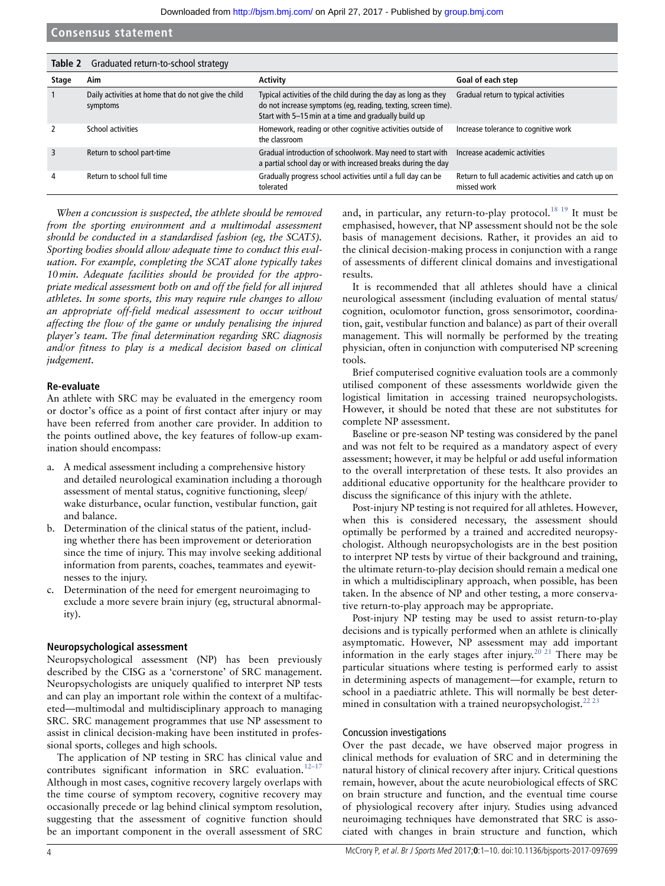<span id="page-3-0"></span>

|       | Table 2 Graduated return-to-school strategy                     |                                                                                                                                                                                         |                                                                   |  |  |
|-------|-----------------------------------------------------------------|-----------------------------------------------------------------------------------------------------------------------------------------------------------------------------------------|-------------------------------------------------------------------|--|--|
| Stage | Aim                                                             | <b>Activity</b>                                                                                                                                                                         | Goal of each step                                                 |  |  |
|       | Daily activities at home that do not give the child<br>symptoms | Typical activities of the child during the day as long as they<br>do not increase symptoms (eq, reading, texting, screen time).<br>Start with 5-15 min at a time and gradually build up | Gradual return to typical activities                              |  |  |
|       | School activities                                               | Homework, reading or other cognitive activities outside of<br>the classroom                                                                                                             | Increase tolerance to cognitive work                              |  |  |
| 3     | Return to school part-time                                      | Gradual introduction of schoolwork. May need to start with<br>a partial school day or with increased breaks during the day                                                              | Increase academic activities                                      |  |  |
| 4     | Return to school full time                                      | Gradually progress school activities until a full day can be<br>tolerated                                                                                                               | Return to full academic activities and catch up on<br>missed work |  |  |

*When a concussion is suspected, the athlete should be removed from the sporting environment and a multimodal assessment should be conducted in a standardised fashion (eg, the SCAT5). Sporting bodies should allow adequate time to conduct this evaluation. For example, completing the SCAT alone typically takes 10min. Adequate facilities should be provided for the appropriate medical assessment both on and off the field for all injured athletes. In some sports, this may require rule changes to allow an appropriate off-field medical assessment to occur without affecting the flow of the game or unduly penalising the injured player's team. The final determination regarding SRC diagnosis and/or fitness to play is a medical decision based on clinical judgement.*

#### **Re-evaluate**

An athlete with SRC may be evaluated in the emergency room or doctor's office as a point of first contact after injury or may have been referred from another care provider. In addition to the points outlined above, the key features of follow-up examination should encompass:

- a. A medical assessment including a comprehensive history and detailed neurological examination including a thorough assessment of mental status, cognitive functioning, sleep/ wake disturbance, ocular function, vestibular function, gait and balance.
- b. Determination of the clinical status of the patient, including whether there has been improvement or deterioration since the time of injury. This may involve seeking additional information from parents, coaches, teammates and eyewitnesses to the injury.
- Determination of the need for emergent neuroimaging to exclude a more severe brain injury (eg, structural abnormality).

#### **Neuropsychological assessment**

Neuropsychological assessment (NP) has been previously described by the CISG as a 'cornerstone' of SRC management. Neuropsychologists are uniquely qualified to interpret NP tests and can play an important role within the context of a multifaceted—multimodal and multidisciplinary approach to managing SRC. SRC management programmes that use NP assessment to assist in clinical decision-making have been instituted in professional sports, colleges and high schools.

The application of NP testing in SRC has clinical value and contributes significant information in SRC evaluation.<sup>12-17</sup> Although in most cases, cognitive recovery largely overlaps with the time course of symptom recovery, cognitive recovery may occasionally precede or lag behind clinical symptom resolution, suggesting that the assessment of cognitive function should be an important component in the overall assessment of SRC

and, in particular, any return-to-play protocol.<sup>18 19</sup> It must be emphasised, however, that NP assessment should not be the sole basis of management decisions. Rather, it provides an aid to the clinical decision-making process in conjunction with a range of assessments of different clinical domains and investigational results.

It is recommended that all athletes should have a clinical neurological assessment (including evaluation of mental status/ cognition, oculomotor function, gross sensorimotor, coordination, gait, vestibular function and balance) as part of their overall management. This will normally be performed by the treating physician, often in conjunction with computerised NP screening tools.

Brief computerised cognitive evaluation tools are a commonly utilised component of these assessments worldwide given the logistical limitation in accessing trained neuropsychologists. However, it should be noted that these are not substitutes for complete NP assessment.

Baseline or pre-season NP testing was considered by the panel and was not felt to be required as a mandatory aspect of every assessment; however, it may be helpful or add useful information to the overall interpretation of these tests. It also provides an additional educative opportunity for the healthcare provider to discuss the significance of this injury with the athlete.

Post-injury NP testing is not required for all athletes. However, when this is considered necessary, the assessment should optimally be performed by a trained and accredited neuropsychologist. Although neuropsychologists are in the best position to interpret NP tests by virtue of their background and training, the ultimate return-to-play decision should remain a medical one in which a multidisciplinary approach, when possible, has been taken. In the absence of NP and other testing, a more conservative return-to-play approach may be appropriate.

Post-injury NP testing may be used to assist return-to-play decisions and is typically performed when an athlete is clinically asymptomatic. However, NP assessment may add important information in the early stages after injury.<sup>20 21</sup> There may be particular situations where testing is performed early to assist in determining aspects of management—for example, return to school in a paediatric athlete. This will normally be best determined in consultation with a trained neuropsychologist. $^{22}$ 

#### Concussion investigations

Over the past decade, we have observed major progress in clinical methods for evaluation of SRC and in determining the natural history of clinical recovery after injury. Critical questions remain, however, about the acute neurobiological effects of SRC on brain structure and function, and the eventual time course of physiological recovery after injury. Studies using advanced neuroimaging techniques have demonstrated that SRC is associated with changes in brain structure and function, which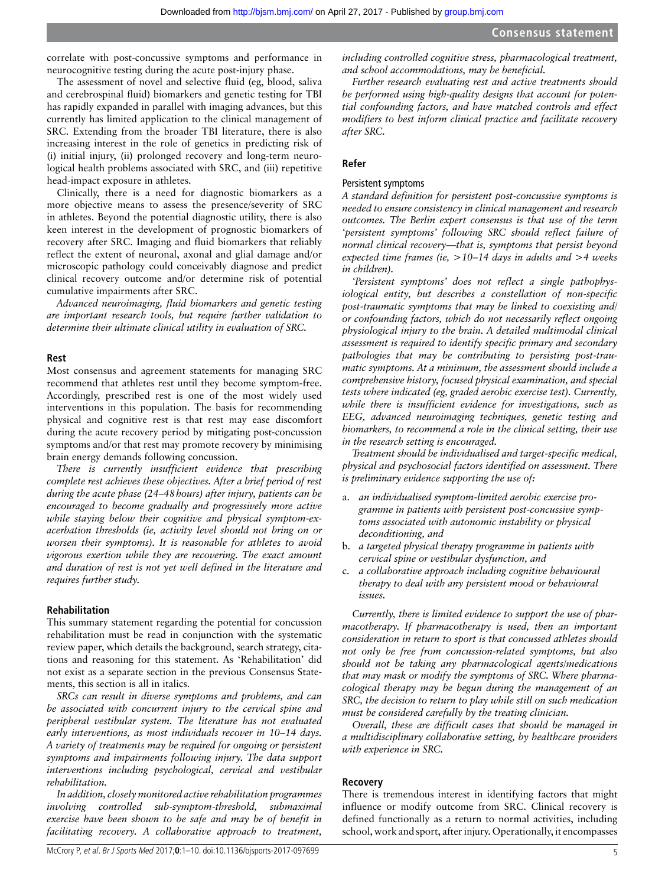correlate with post-concussive symptoms and performance in neurocognitive testing during the acute post-injury phase.

The assessment of novel and selective fluid (eg, blood, saliva and cerebrospinal fluid) biomarkers and genetic testing for TBI has rapidly expanded in parallel with imaging advances, but this currently has limited application to the clinical management of SRC. Extending from the broader TBI literature, there is also increasing interest in the role of genetics in predicting risk of (i) initial injury, (ii) prolonged recovery and long-term neurological health problems associated with SRC, and (iii) repetitive head-impact exposure in athletes.

Clinically, there is a need for diagnostic biomarkers as a more objective means to assess the presence/severity of SRC in athletes. Beyond the potential diagnostic utility, there is also keen interest in the development of prognostic biomarkers of recovery after SRC. Imaging and fluid biomarkers that reliably reflect the extent of neuronal, axonal and glial damage and/or microscopic pathology could conceivably diagnose and predict clinical recovery outcome and/or determine risk of potential cumulative impairments after SRC.

*Advanced neuroimaging, fluid biomarkers and genetic testing are important research tools, but require further validation to determine their ultimate clinical utility in evaluation of SRC.*

#### **Rest**

Most consensus and agreement statements for managing SRC recommend that athletes rest until they become symptom-free. Accordingly, prescribed rest is one of the most widely used interventions in this population. The basis for recommending physical and cognitive rest is that rest may ease discomfort during the acute recovery period by mitigating post-concussion symptoms and/or that rest may promote recovery by minimising brain energy demands following concussion.

*There is currently insufficient evidence that prescribing complete rest achieves these objectives. After a brief period of rest during the acute phase (24–48hours) after injury, patients can be encouraged to become gradually and progressively more active while staying below their cognitive and physical symptom-exacerbation thresholds (ie, activity level should not bring on or worsen their symptoms). It is reasonable for athletes to avoid vigorous exertion while they are recovering. The exact amount and duration of rest is not yet well defined in the literature and requires further study.*

#### **Rehabilitation**

This summary statement regarding the potential for concussion rehabilitation must be read in conjunction with the systematic review paper, which details the background, search strategy, citations and reasoning for this statement. As 'Rehabilitation' did not exist as a separate section in the previous Consensus Statements, this section is all in italics.

*SRCs can result in diverse symptoms and problems, and can be associated with concurrent injury to the cervical spine and peripheral vestibular system. The literature has not evaluated early interventions, as most individuals recover in 10–14 days. A variety of treatments may be required for ongoing or persistent symptoms and impairments following injury. The data support interventions including psychological, cervical and vestibular rehabilitation.*

*In addition, closely monitored active rehabilitation programmes involving controlled sub-symptom-threshold, submaximal exercise have been shown to be safe and may be of benefit in facilitating recovery. A collaborative approach to treatment,* 

*including controlled cognitive stress, pharmacological treatment, and school accommodations, may be beneficial.*

*Further research evaluating rest and active treatments should be performed using high-quality designs that account for potential confounding factors, and have matched controls and effect modifiers to best inform clinical practice and facilitate recovery after SRC.*

#### **Refer**

# Persistent symptoms

*A standard definition for persistent post-concussive symptoms is needed to ensure consistency in clinical management and research outcomes. The Berlin expert consensus is that use of the term 'persistent symptoms' following SRC should reflect failure of normal clinical recovery—that is, symptoms that persist beyond expected time frames (ie, >10–14 days in adults and >4 weeks in children).*

*'Persistent symptoms' does not reflect a single pathophysiological entity, but describes a constellation of non-specific post-traumatic symptoms that may be linked to coexisting and/ or confounding factors, which do not necessarily reflect ongoing physiological injury to the brain. A detailed multimodal clinical assessment is required to identify specific primary and secondary pathologies that may be contributing to persisting post-traumatic symptoms. At a minimum, the assessment should include a comprehensive history, focused physical examination, and special tests where indicated (eg, graded aerobic exercise test). Currently, while there is insufficient evidence for investigations, such as EEG, advanced neuroimaging techniques, genetic testing and biomarkers, to recommend a role in the clinical setting, their use in the research setting is encouraged.*

*Treatment should be individualised and target-specific medical, physical and psychosocial factors identified on assessment. There is preliminary evidence supporting the use of:*

- a. *an individualised symptom-limited aerobic exercise programme in patients with persistent post-concussive symptoms associated with autonomic instability or physical deconditioning, and*
- b. *a targeted physical therapy programme in patients with cervical spine or vestibular dysfunction, and*
- c. *a collaborative approach including cognitive behavioural therapy to deal with any persistent mood or behavioural issues.*

*Currently, there is limited evidence to support the use of pharmacotherapy. If pharmacotherapy is used, then an important consideration in return to sport is that concussed athletes should not only be free from concussion-related symptoms, but also should not be taking any pharmacological agents/medications that may mask or modify the symptoms of SRC. Where pharmacological therapy may be begun during the management of an SRC, the decision to return to play while still on such medication must be considered carefully by the treating clinician.*

*Overall, these are difficult cases that should be managed in a multidisciplinary collaborative setting, by healthcare providers with experience in SRC.*

#### **Recovery**

There is tremendous interest in identifying factors that might influence or modify outcome from SRC. Clinical recovery is defined functionally as a return to normal activities, including school, work and sport, after injury. Operationally, it encompasses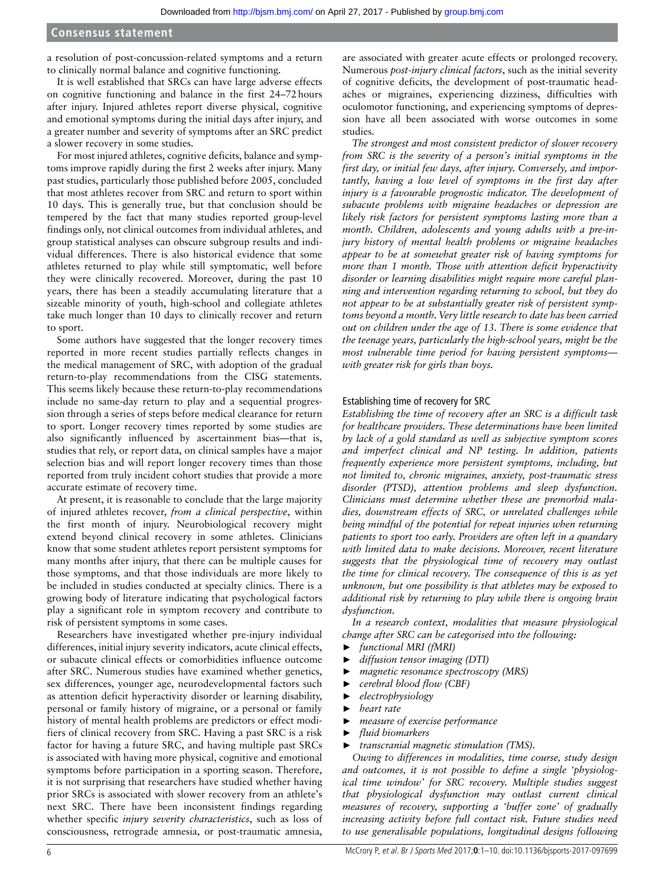a resolution of post-concussion-related symptoms and a return to clinically normal balance and cognitive functioning.

It is well established that SRCs can have large adverse effects on cognitive functioning and balance in the first 24–72hours after injury. Injured athletes report diverse physical, cognitive and emotional symptoms during the initial days after injury, and a greater number and severity of symptoms after an SRC predict a slower recovery in some studies.

For most injured athletes, cognitive deficits, balance and symptoms improve rapidly during the first 2 weeks after injury. Many past studies, particularly those published before 2005, concluded that most athletes recover from SRC and return to sport within 10 days. This is generally true, but that conclusion should be tempered by the fact that many studies reported group-level findings only, not clinical outcomes from individual athletes, and group statistical analyses can obscure subgroup results and individual differences. There is also historical evidence that some athletes returned to play while still symptomatic, well before they were clinically recovered. Moreover, during the past 10 years, there has been a steadily accumulating literature that a sizeable minority of youth, high-school and collegiate athletes take much longer than 10 days to clinically recover and return to sport.

Some authors have suggested that the longer recovery times reported in more recent studies partially reflects changes in the medical management of SRC, with adoption of the gradual return-to-play recommendations from the CISG statements. This seems likely because these return-to-play recommendations include no same-day return to play and a sequential progression through a series of steps before medical clearance for return to sport. Longer recovery times reported by some studies are also significantly influenced by ascertainment bias—that is, studies that rely, or report data, on clinical samples have a major selection bias and will report longer recovery times than those reported from truly incident cohort studies that provide a more accurate estimate of recovery time.

At present, it is reasonable to conclude that the large majority of injured athletes recover, *from a clinical perspective*, within the first month of injury. Neurobiological recovery might extend beyond clinical recovery in some athletes. Clinicians know that some student athletes report persistent symptoms for many months after injury, that there can be multiple causes for those symptoms, and that those individuals are more likely to be included in studies conducted at specialty clinics. There is a growing body of literature indicating that psychological factors play a significant role in symptom recovery and contribute to risk of persistent symptoms in some cases.

Researchers have investigated whether pre-injury individual differences, initial injury severity indicators, acute clinical effects, or subacute clinical effects or comorbidities influence outcome after SRC. Numerous studies have examined whether genetics, sex differences, younger age, neurodevelopmental factors such as attention deficit hyperactivity disorder or learning disability, personal or family history of migraine, or a personal or family history of mental health problems are predictors or effect modifiers of clinical recovery from SRC. Having a past SRC is a risk factor for having a future SRC, and having multiple past SRCs is associated with having more physical, cognitive and emotional symptoms before participation in a sporting season. Therefore, it is not surprising that researchers have studied whether having prior SRCs is associated with slower recovery from an athlete's next SRC. There have been inconsistent findings regarding whether specific *injury severity characteristics*, such as loss of consciousness, retrograde amnesia, or post-traumatic amnesia,

are associated with greater acute effects or prolonged recovery. Numerous *post-injury clinical factors*, such as the initial severity of cognitive deficits, the development of post-traumatic headaches or migraines, experiencing dizziness, difficulties with oculomotor functioning, and experiencing symptoms of depression have all been associated with worse outcomes in some studies.

*The strongest and most consistent predictor of slower recovery from SRC is the severity of a person's initial symptoms in the first day, or initial few days, after injury. Conversely, and importantly, having a low level of symptoms in the first day after injury is a favourable prognostic indicator. The development of subacute problems with migraine headaches or depression are likely risk factors for persistent symptoms lasting more than a month. Children, adolescents and young adults with a pre-injury history of mental health problems or migraine headaches appear to be at somewhat greater risk of having symptoms for more than 1 month. Those with attention deficit hyperactivity disorder or learning disabilities might require more careful planning and intervention regarding returning to school, but they do not appear to be at substantially greater risk of persistent symptoms beyond a month. Very little research to date has been carried out on children under the age of 13. There is some evidence that the teenage years, particularly the high-school years, might be the most vulnerable time period for having persistent symptoms with greater risk for girls than boys.*

#### Establishing time of recovery for SRC

*Establishing the time of recovery after an SRC is a difficult task for healthcare providers. These determinations have been limited by lack of a gold standard as well as subjective symptom scores and imperfect clinical and NP testing. In addition, patients frequently experience more persistent symptoms, including, but not limited to, chronic migraines, anxiety, post-traumatic stress disorder (PTSD), attention problems and sleep dysfunction. Clinicians must determine whether these are premorbid maladies, downstream effects of SRC, or unrelated challenges while being mindful of the potential for repeat injuries when returning patients to sport too early. Providers are often left in a quandary with limited data to make decisions. Moreover, recent literature suggests that the physiological time of recovery may outlast the time for clinical recovery. The consequence of this is as yet unknown, but one possibility is that athletes may be exposed to additional risk by returning to play while there is ongoing brain dysfunction.*

*In a research context, modalities that measure physiological change after SRC can be categorised into the following:*

- ► *functional MRI (fMRI)*
- ► *diffusion tensor imaging (DTI)*
- ► *magnetic resonance spectroscopy (MRS)*
- ► *cerebral blood flow (CBF)*
- ► *electrophysiology*
- ► *heart rate*
- ► *measure of exercise performance*
- ► *fluid biomarkers*
- ► *transcranial magnetic stimulation (TMS).*

*Owing to differences in modalities, time course, study design and outcomes, it is not possible to define a single 'physiological time window' for SRC recovery. Multiple studies suggest that physiological dysfunction may outlast current clinical measures of recovery, supporting a 'buffer zone' of gradually increasing activity before full contact risk. Future studies need to use generalisable populations, longitudinal designs following*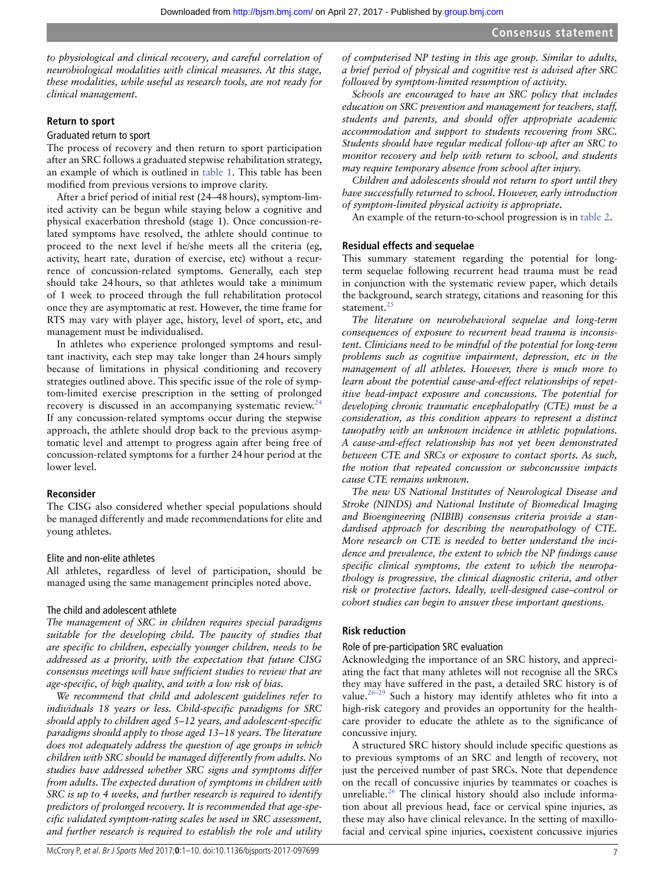*to physiological and clinical recovery, and careful correlation of neurobiological modalities with clinical measures. At this stage, these modalities, while useful as research tools, are not ready for clinical management.*

#### **Return to sport**

#### Graduated return to sport

The process of recovery and then return to sport participation after an SRC follows a graduated stepwise rehabilitation strategy, an example of which is outlined in [table](#page-2-0) 1. This table has been modified from previous versions to improve clarity.

After a brief period of initial rest (24–48hours), symptom-limited activity can be begun while staying below a cognitive and physical exacerbation threshold (stage 1). Once concussion-related symptoms have resolved, the athlete should continue to proceed to the next level if he/she meets all the criteria (eg, activity, heart rate, duration of exercise, etc) without a recurrence of concussion-related symptoms. Generally, each step should take 24hours, so that athletes would take a minimum of 1 week to proceed through the full rehabilitation protocol once they are asymptomatic at rest. However, the time frame for RTS may vary with player age, history, level of sport, etc, and management must be individualised.

In athletes who experience prolonged symptoms and resultant inactivity, each step may take longer than 24hours simply because of limitations in physical conditioning and recovery strategies outlined above. This specific issue of the role of symptom-limited exercise prescription in the setting of prolonged recovery is discussed in an accompanying systematic review.<sup>[24](#page-8-9)</sup> If any concussion-related symptoms occur during the stepwise approach, the athlete should drop back to the previous asymptomatic level and attempt to progress again after being free of concussion-related symptoms for a further 24hour period at the lower level.

#### **Reconsider**

The CISG also considered whether special populations should be managed differently and made recommendations for elite and young athletes.

#### Elite and non-elite athletes

All athletes, regardless of level of participation, should be managed using the same management principles noted above.

#### The child and adolescent athlete

*The management of SRC in children requires special paradigms suitable for the developing child. The paucity of studies that are specific to children, especially younger children, needs to be addressed as a priority, with the expectation that future CISG consensus meetings will have sufficient studies to review that are age-specific, of high quality, and with a low risk of bias.*

*We recommend that child and adolescent guidelines refer to individuals 18 years or less. Child-specific paradigms for SRC should apply to children aged 5–12 years, and adolescent-specific paradigms should apply to those aged 13–18 years. The literature does not adequately address the question of age groups in which children with SRC should be managed differently from adults. No studies have addressed whether SRC signs and symptoms differ from adults. The expected duration of symptoms in children with SRC is up to 4 weeks, and further research is required to identify predictors of prolonged recovery. It is recommended that age-specific validated symptom-rating scales be used in SRC assessment, and further research is required to establish the role and utility* 

*of computerised NP testing in this age group. Similar to adults, a brief period of physical and cognitive rest is advised after SRC followed by symptom-limited resumption of activity.*

*Schools are encouraged to have an SRC policy that includes education on SRC prevention and management for teachers, staff, students and parents, and should offer appropriate academic accommodation and support to students recovering from SRC. Students should have regular medical follow-up after an SRC to monitor recovery and help with return to school, and students may require temporary absence from school after injury.*

*Children and adolescents should not return to sport until they have successfully returned to school. However, early introduction of symptom-limited physical activity is appropriate.*

An example of the return-to-school progression is in [table](#page-3-0) 2.

#### **Residual effects and sequelae**

This summary statement regarding the potential for longterm sequelae following recurrent head trauma must be read in conjunction with the systematic review paper, which details the background, search strategy, citations and reasoning for this statement.<sup>[25](#page-9-0)</sup>

*The literature on neurobehavioral sequelae and long-term consequences of exposure to recurrent head trauma is inconsistent. Clinicians need to be mindful of the potential for long-term problems such as cognitive impairment, depression, etc in the management of all athletes. However, there is much more to learn about the potential cause-and-effect relationships of repetitive head-impact exposure and concussions. The potential for developing chronic traumatic encephalopathy (CTE) must be a consideration, as this condition appears to represent a distinct tauopathy with an unknown incidence in athletic populations. A cause-and-effect relationship has not yet been demonstrated between CTE and SRCs or exposure to contact sports. As such, the notion that repeated concussion or subconcussive impacts cause CTE remains unknown.*

*The new US National Institutes of Neurological Disease and Stroke (NINDS) and National Institute of Biomedical Imaging and Bioengineering (NIBIB) consensus criteria provide a standardised approach for describing the neuropathology of CTE. More research on CTE is needed to better understand the incidence and prevalence, the extent to which the NP findings cause specific clinical symptoms, the extent to which the neuropathology is progressive, the clinical diagnostic criteria, and other risk or protective factors. Ideally, well-designed case–control or cohort studies can begin to answer these important questions.*

#### **Risk reduction**

#### Role of pre-participation SRC evaluation

Acknowledging the importance of an SRC history, and appreciating the fact that many athletes will not recognise all the SRCs they may have suffered in the past, a detailed SRC history is of value. $26-29$  Such a history may identify athletes who fit into a high-risk category and provides an opportunity for the healthcare provider to educate the athlete as to the significance of concussive injury.

A structured SRC history should include specific questions as to previous symptoms of an SRC and length of recovery, not just the perceived number of past SRCs. Note that dependence on the recall of concussive injuries by teammates or coaches is unreliable.<sup>26</sup> The clinical history should also include information about all previous head, face or cervical spine injuries, as these may also have clinical relevance. In the setting of maxillofacial and cervical spine injuries, coexistent concussive injuries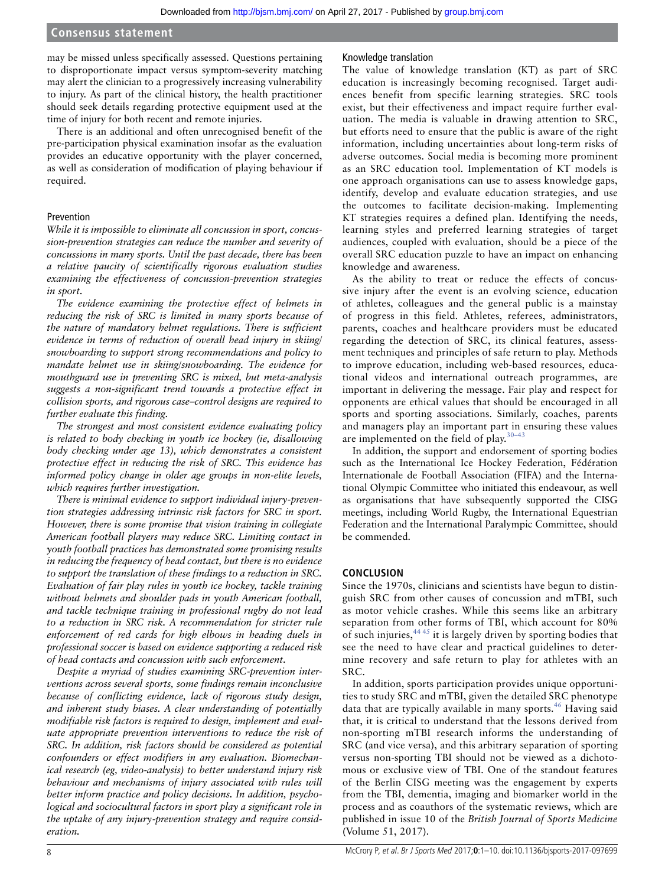may be missed unless specifically assessed. Questions pertaining to disproportionate impact versus symptom-severity matching may alert the clinician to a progressively increasing vulnerability to injury. As part of the clinical history, the health practitioner should seek details regarding protective equipment used at the time of injury for both recent and remote injuries.

There is an additional and often unrecognised benefit of the pre-participation physical examination insofar as the evaluation provides an educative opportunity with the player concerned, as well as consideration of modification of playing behaviour if required.

#### Prevention

*While it is impossible to eliminate all concussion in sport, concussion-prevention strategies can reduce the number and severity of concussions in many sports. Until the past decade, there has been a relative paucity of scientifically rigorous evaluation studies examining the effectiveness of concussion-prevention strategies in sport.*

*The evidence examining the protective effect of helmets in reducing the risk of SRC is limited in many sports because of the nature of mandatory helmet regulations. There is sufficient evidence in terms of reduction of overall head injury in skiing/ snowboarding to support strong recommendations and policy to mandate helmet use in skiing/snowboarding. The evidence for mouthguard use in preventing SRC is mixed, but meta-analysis suggests a non-significant trend towards a protective effect in collision sports, and rigorous case–control designs are required to further evaluate this finding.*

*The strongest and most consistent evidence evaluating policy is related to body checking in youth ice hockey (ie, disallowing body checking under age 13), which demonstrates a consistent protective effect in reducing the risk of SRC. This evidence has informed policy change in older age groups in non-elite levels, which requires further investigation.*

*There is minimal evidence to support individual injury-prevention strategies addressing intrinsic risk factors for SRC in sport. However, there is some promise that vision training in collegiate American football players may reduce SRC. Limiting contact in youth football practices has demonstrated some promising results in reducing the frequency of head contact, but there is no evidence to support the translation of these findings to a reduction in SRC. Evaluation of fair play rules in youth ice hockey, tackle training without helmets and shoulder pads in youth American football, and tackle technique training in professional rugby do not lead to a reduction in SRC risk. A recommendation for stricter rule enforcement of red cards for high elbows in heading duels in professional soccer is based on evidence supporting a reduced risk of head contacts and concussion with such enforcement.*

*Despite a myriad of studies examining SRC-prevention interventions across several sports, some findings remain inconclusive because of conflicting evidence, lack of rigorous study design, and inherent study biases. A clear understanding of potentially modifiable risk factors is required to design, implement and evaluate appropriate prevention interventions to reduce the risk of SRC. In addition, risk factors should be considered as potential confounders or effect modifiers in any evaluation. Biomechanical research (eg, video-analysis) to better understand injury risk behaviour and mechanisms of injury associated with rules will better inform practice and policy decisions. In addition, psychological and sociocultural factors in sport play a significant role in the uptake of any injury-prevention strategy and require consideration.*

#### Knowledge translation

The value of knowledge translation (KT) as part of SRC education is increasingly becoming recognised. Target audiences benefit from specific learning strategies. SRC tools exist, but their effectiveness and impact require further evaluation. The media is valuable in drawing attention to SRC, but efforts need to ensure that the public is aware of the right information, including uncertainties about long-term risks of adverse outcomes. Social media is becoming more prominent as an SRC education tool. Implementation of KT models is one approach organisations can use to assess knowledge gaps, identify, develop and evaluate education strategies, and use the outcomes to facilitate decision-making. Implementing KT strategies requires a defined plan. Identifying the needs, learning styles and preferred learning strategies of target audiences, coupled with evaluation, should be a piece of the overall SRC education puzzle to have an impact on enhancing knowledge and awareness.

As the ability to treat or reduce the effects of concussive injury after the event is an evolving science, education of athletes, colleagues and the general public is a mainstay of progress in this field. Athletes, referees, administrators, parents, coaches and healthcare providers must be educated regarding the detection of SRC, its clinical features, assessment techniques and principles of safe return to play. Methods to improve education, including web-based resources, educational videos and international outreach programmes, are important in delivering the message. Fair play and respect for opponents are ethical values that should be encouraged in all sports and sporting associations. Similarly, coaches, parents and managers play an important part in ensuring these values are implemented on the field of play. $30-43$ 

In addition, the support and endorsement of sporting bodies such as the International Ice Hockey Federation, Fédération Internationale de Football Association (FIFA) and the International Olympic Committee who initiated this endeavour, as well as organisations that have subsequently supported the CISG meetings, including World Rugby, the International Equestrian Federation and the International Paralympic Committee, should be commended.

#### **CONCLUSION**

Since the 1970s, clinicians and scientists have begun to distinguish SRC from other causes of concussion and mTBI, such as motor vehicle crashes. While this seems like an arbitrary separation from other forms of TBI, which account for 80% of such injuries,  $44.45$  it is largely driven by sporting bodies that see the need to have clear and practical guidelines to determine recovery and safe return to play for athletes with an SRC.

In addition, sports participation provides unique opportunities to study SRC and mTBI, given the detailed SRC phenotype data that are typically available in many sports.<sup>[46](#page-9-4)</sup> Having said that, it is critical to understand that the lessons derived from non-sporting mTBI research informs the understanding of SRC (and vice versa), and this arbitrary separation of sporting versus non-sporting TBI should not be viewed as a dichotomous or exclusive view of TBI. One of the standout features of the Berlin CISG meeting was the engagement by experts from the TBI, dementia, imaging and biomarker world in the process and as coauthors of the systematic reviews, which are published in issue 10 of the *British Journal of Sports Medicine* (Volume 51, 2017).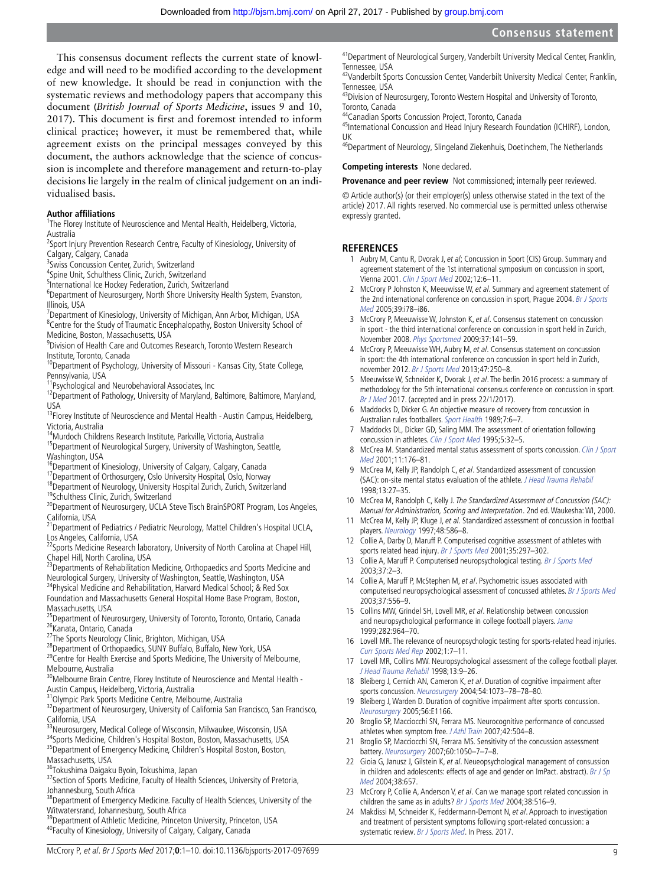This consensus document reflects the current state of knowledge and will need to be modified according to the development of new knowledge. It should be read in conjunction with the systematic reviews and methodology papers that accompany this document (*British Journal of Sports Medicine*, issues 9 and 10, 2017). This document is first and foremost intended to inform clinical practice; however, it must be remembered that, while agreement exists on the principal messages conveyed by this document, the authors acknowledge that the science of concussion is incomplete and therefore management and return-to-play decisions lie largely in the realm of clinical judgement on an individualised basis.

#### **Author affiliations**

<sup>1</sup>The Florey Institute of Neuroscience and Mental Health, Heidelberg, Victoria, Australia

<sup>2</sup>Sport Injury Prevention Research Centre, Faculty of Kinesiology, University of Calgary, Calgary, Canada

<sup>3</sup> Swiss Concussion Center, Zurich, Switzerland

4 Spine Unit, Schulthess Clinic, Zurich, Switzerland

5 International Ice Hockey Federation, Zurich, Switzerland

<sup>6</sup>Department of Neurosurgery, North Shore University Health System, Evanston, Illinois, USA

<sup>7</sup>Department of Kinesiology, University of Michigan, Ann Arbor, Michigan, USA <sup>8</sup>Centre for the Study of Traumatic Encephalopathy, Boston University School of Medicine, Boston, Massachusetts, USA

9 Division of Health Care and Outcomes Research, Toronto Western Research Institute, Toronto, Canada

<sup>10</sup>Department of Psychology, University of Missouri - Kansas City, State College, Pennsylvania, USA

<sup>11</sup>Psychological and Neurobehavioral Associates, Inc

<sup>12</sup>Department of Pathology, University of Maryland, Baltimore, Baltimore, Maryland, USA

<sup>13</sup>Florey Institute of Neuroscience and Mental Health - Austin Campus, Heidelberg, Victoria, Australia

14Murdoch Childrens Research Institute, Parkville, Victoria, Australia

<sup>15</sup>Department of Neurological Surgery, University of Washington, Seattle, Washington, USA

<sup>16</sup>Department of Kinesiology, University of Calgary, Calgary, Canada

<sup>17</sup>Department of Orthosurgery, Oslo University Hospital, Oslo, Norway

<sup>18</sup>Department of Neurology, University Hospital Zurich, Zurich, Switzerland

19Schulthess Clinic, Zurich, Switzerland

<sup>20</sup>Department of Neurosurgery, UCLA Steve Tisch BrainSPORT Program, Los Angeles, California, USA

<sup>21</sup>Department of Pediatrics / Pediatric Neurology, Mattel Children's Hospital UCLA, Los Angeles, California, USA

<sup>22</sup>Sports Medicine Research laboratory, University of North Carolina at Chapel Hill, Chapel Hill, North Carolina, USA

<sup>23</sup>Departments of Rehabilitation Medicine, Orthopaedics and Sports Medicine and Neurological Surgery, University of Washington, Seattle, Washington, USA

<sup>24</sup>Physical Medicine and Rehabilitation, Harvard Medical School; & Red Sox Foundation and Massachusetts General Hospital Home Base Program, Boston, Massachusetts, USA

<sup>25</sup>Department of Neurosurgery, University of Toronto, Toronto, Ontario, Canada 26 Kanata, Ontario, Canada

<sup>27</sup>The Sports Neurology Clinic, Brighton, Michigan, USA

<sup>28</sup>Department of Orthopaedics, SUNY Buffalo, Buffalo, New York, USA

<sup>29</sup>Centre for Health Exercise and Sports Medicine, The University of Melbourne, Melbourne, Australia

<sup>30</sup>Melbourne Brain Centre, Florey Institute of Neuroscience and Mental Health -

Austin Campus, Heidelberg, Victoria, Australia 31Olympic Park Sports Medicine Centre, Melbourne, Australia

<sup>32</sup>Department of Neurosurgery, University of California San Francisco, San Francisco,

California, USA<br><sup>33</sup>Neurosurgery, Medical College of Wisconsin, Milwaukee, Wisconsin, USA

34Sports Medicine, Children's Hospital Boston, Boston, Massachusetts, USA 35Department of Emergency Medicine, Children's Hospital Boston, Boston, Massachusetts, USA

36Tokushima Daigaku Byoin, Tokushima, Japan

<sup>37</sup> Section of Sports Medicine, Faculty of Health Sciences, University of Pretoria, Johannesburg, South Africa

<sup>38</sup>Department of Emergency Medicine. Faculty of Health Sciences, University of the Witwatersrand, Johannesburg, South Africa

<sup>39</sup>Department of Athletic Medicine, Princeton University, Princeton, USA <sup>40</sup>Faculty of Kinesiology, University of Calgary, Calgary, Canada

<sup>41</sup> Department of Neurological Surgery, Vanderbilt University Medical Center, Franklin,

Tennessee, USA<br><sup>42</sup>Vanderbilt Sports Concussion Center, Vanderbilt University Medical Center, Franklin, Tennessee, USA

43Division of Neurosurgery, Toronto Western Hospital and University of Toronto, Toronto, Canada

44Canadian Sports Concussion Project, Toronto, Canada

45International Concussion and Head Injury Research Foundation (ICHIRF), London, UK

<sup>56</sup>Department of Neurology, Slingeland Ziekenhuis, Doetinchem, The Netherlands

#### **Competing interests** None declared.

**Provenance and peer review** Not commissioned; internally peer reviewed.

© Article author(s) (or their employer(s) unless otherwise stated in the text of the article) 2017. All rights reserved. No commercial use is permitted unless otherwise expressly granted.

#### **REFERENCES**

- <span id="page-8-0"></span>1 Aubry M, Cantu R, Dvorak J, et al; Concussion in Sport (CIS) Group. Summary and agreement statement of the 1st international symposium on concussion in sport, Vienna 2001. [Clin J Sport Med](http://dx.doi.org/10.1097/00042752-200201000-00005) 2002;12:6–11.
- 2 McCrory P Johnston K, Meeuwisse W, et al. Summary and agreement statement of the 2nd international conference on concussion in sport, Prague 2004. Br J Sports [Med](http://dx.doi.org/10.1136/bjsm.2005.018614) 2005;39:i78–i86.
- 3 McCrory P, Meeuwisse W, Johnston K, et al. Consensus statement on concussion in sport - the third international conference on concussion in sport held in Zurich, November 2008. [Phys Sportsmed](http://dx.doi.org/10.3810/psm.2009.06.1721) 2009;37:141–59.
- 4 McCrory P, Meeuwisse WH, Aubry M, et al. Consensus statement on concussion in sport: the 4th international conference on concussion in sport held in Zurich, november 2012. [Br J Sports Med](http://dx.doi.org/10.1136/bjsports-2013-092313) 2013;47:250–8.
- <span id="page-8-1"></span>5 Meeuwisse W, Schneider K, Dvorak J, et al. The berlin 2016 process: a summary of methodology for the 5th international consensus conference on concussion in sport. Br J Med 2017. (accepted and in press 22/1/2017).
- <span id="page-8-2"></span>6 Maddocks D, Dicker G. An objective measure of recovery from concussion in Australian rules footballers. Sport Health 1989;7:6–7.
- <span id="page-8-4"></span>7 Maddocks DL, Dicker GD, Saling MM. The assessment of orientation following concussion in athletes. [Clin J Sport Med](http://dx.doi.org/10.1097/00042752-199501000-00006) 1995;5:32-5.
- <span id="page-8-3"></span>8 McCrea M. Standardized mental status assessment of sports concussion. Clin J Sport [Med](http://dx.doi.org/10.1097/00042752-200107000-00008) 2001;11:176–81.
- 9 McCrea M, Kelly JP, Randolph C, et al. Standardized assessment of concussion (SAC): on-site mental status evaluation of the athlete. [J Head Trauma Rehabil](http://dx.doi.org/10.1097/00001199-199804000-00005) 1998;13:27–35.
- 10 McCrea M, Randolph C, Kelly J. The Standardized Assessment of Concussion (SAC): Manual for Administration, Scoring and Interpretation. 2nd ed. Waukesha: WI, 2000.
- 11 McCrea M, Kelly JP, Kluge J, et al. Standardized assessment of concussion in football players. [Neurology](http://dx.doi.org/10.1212/WNL.48.3.586) 1997;48:586–8.
- <span id="page-8-5"></span>12 Collie A, Darby D, Maruff P. Computerised cognitive assessment of athletes with sports related head injury. [Br J Sports Med](http://dx.doi.org/10.1136/bjsm.35.5.297) 2001;35:297-302.
- 13 Collie A, Maruff P. Computerised neuropsychological testing. [Br J Sports Med](http://dx.doi.org/10.1136/bjsm.37.1.2) 2003;37:2–3.
- 14 Collie A, Maruff P, McStephen M, et al. Psychometric issues associated with computerised neuropsychological assessment of concussed athletes. [Br J Sports Med](http://dx.doi.org/10.1136/bjsm.37.6.556) 2003;37:556–9.
- 15 Collins MW, Grindel SH, Lovell MR, et al. Relationship between concussion and neuropsychological performance in college football players. [Jama](http://dx.doi.org/10.1001/jama.282.10.964) 1999;282:964–70.
- 16 Lovell MR. The relevance of neuropsychologic testing for sports-related head injuries. [Curr Sports Med Rep](http://dx.doi.org/10.1249/00149619-200202000-00003) 2002;1:7–11.
- 17 Lovell MR, Collins MW. Neuropsychological assessment of the college football player. [J Head Trauma Rehabil](http://dx.doi.org/10.1097/00001199-199804000-00004) 1998;13:9–26.
- <span id="page-8-6"></span>18 Bleiberg J, Cernich AN, Cameron K, et al. Duration of cognitive impairment after sports concussion. [Neurosurgery](http://dx.doi.org/10.1227/01.NEU.0000118820.33396.6A) 2004;54:1073–78–78–80.
- 19 Bleiberg J, Warden D. Duration of cognitive impairment after sports concussion. Neurosurgery 2005;56:E1166.
- <span id="page-8-7"></span>20 Broglio SP, Macciocchi SN, Ferrara MS. Neurocognitive performance of concussed athletes when symptom free. J Athl Train 2007;42:504-8.
- 21 Broglio SP, Macciocchi SN, Ferrara MS. Sensitivity of the concussion assessment battery. [Neurosurgery](http://dx.doi.org/10.1227/01.NEU.0000255479.90999.C0) 2007;60:1050–7–7–8.
- <span id="page-8-8"></span>22 Gioia G, Janusz J, Gilstein K, et al. Neueopsychological management of consussion in children and adolescents: effects of age and gender on ImPact. abstract). Br J Sp Med 2004;38:657.
- 23 McCrory P, Collie A, Anderson V, et al. Can we manage sport related concussion in children the same as in adults? [Br J Sports Med](http://dx.doi.org/10.1136/bjsm.2004.014811) 2004;38:516-9.
- <span id="page-8-9"></span>24 Makdissi M, Schneider K, Feddermann-Demont N, et al. Approach to investigation and treatment of persistent symptoms following sport-related concussion: a systematic review. Br J Sports Med. In Press. 2017.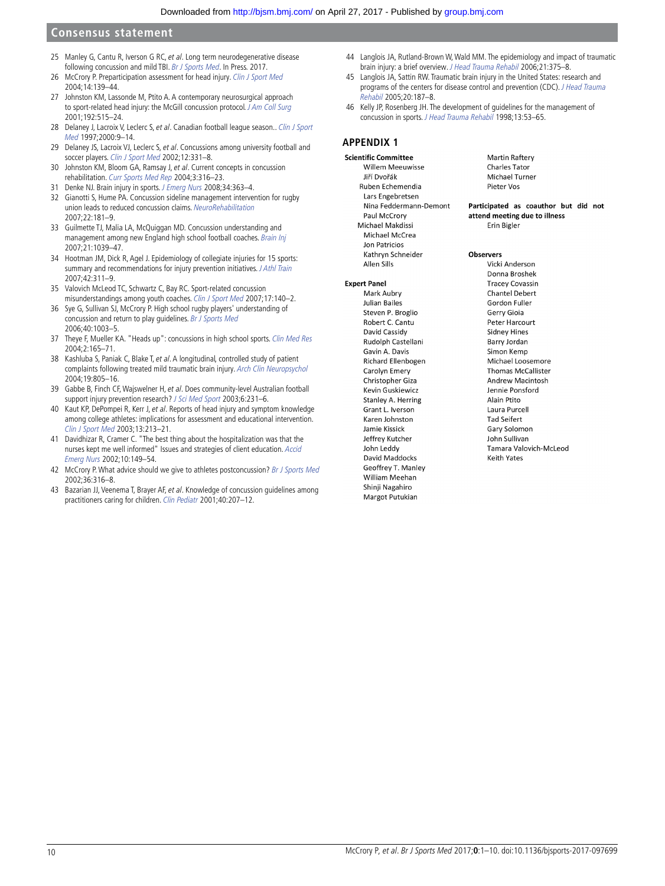- <span id="page-9-0"></span>25 Manley G, Cantu R, Iverson G RC, et al. Long term neurodegenerative disease following concussion and mild TBI. Br J Sports Med. In Press. 2017.
- <span id="page-9-1"></span>26 McCrory P. Preparticipation assessment for head injury. [Clin J Sport Med](http://dx.doi.org/10.1097/00042752-200405000-00006) 2004;14:139–44.
- 27 Johnston KM, Lassonde M, Ptito A. A contemporary neurosurgical approach to sport-related head injury: the McGill concussion protocol. [J Am Coll Surg](http://dx.doi.org/10.1016/S1072-7515(01)00797-9) 2001;192:515–24.
- 28 Delaney J, Lacroix V, Leclerc S, et al. Canadian football league season.. Clin J Sport Med 1997;2000:9–14.
- 29 Delaney JS, Lacroix VJ, Leclerc S, et al. Concussions among university football and soccer players. [Clin J Sport Med](http://dx.doi.org/10.1097/00042752-200211000-00003) 2002:12:331-8.
- <span id="page-9-2"></span>30 Johnston KM, Bloom GA, Ramsay J, et al. Current concepts in concussion rehabilitation. [Curr Sports Med Rep](http://dx.doi.org/10.1249/00149619-200412000-00006) 2004;3:316–23.
- 31 Denke NJ. Brain injury in sports. [J Emerg Nurs](http://dx.doi.org/10.1016/j.jen.2008.04.013) 2008;34:363–4.
- 32 Gianotti S, Hume PA. Concussion sideline management intervention for rugby union leads to reduced concussion claims. NeuroRehabilitation 2007;22:181–9.
- 33 Guilmette TJ, Malia LA, McQuiggan MD. Concussion understanding and management among new England high school football coaches. [Brain Inj](http://dx.doi.org/10.1080/02699050701633080) 2007;21:1039–47.
- 34 Hootman JM, Dick R, Agel J. Epidemiology of collegiate injuries for 15 sports: summary and recommendations for injury prevention initiatives. J Athl Train 2007;42:311–9.
- 35 Valovich McLeod TC, Schwartz C, Bay RC. Sport-related concussion misunderstandings among youth coaches. [Clin J Sport Med](http://dx.doi.org/10.1097/JSM.0b013e31803212ae) 2007;17:140–2.
- 36 Sye G, Sullivan SJ, McCrory P. High school rugby players' understanding of concussion and return to play guidelines. [Br J Sports Med](http://dx.doi.org/10.1136/bjsm.2005.020511) 2006;40:1003–5.
- 37 Theye F, Mueller KA. "Heads up": concussions in high school sports. [Clin Med Res](http://dx.doi.org/10.3121/cmr.2.3.165) 2004;2:165–71.
- 38 Kashluba S, Paniak C, Blake T, et al. A longitudinal, controlled study of patient complaints following treated mild traumatic brain injury. [Arch Clin Neuropsychol](http://dx.doi.org/10.1016/j.acn.2003.09.005) 2004;19:805–16.
- 39 Gabbe B, Finch CF, Wajswelner H, et al. Does community-level Australian football support injury prevention research? [J Sci Med Sport](http://dx.doi.org/10.1016/S1440-2440(03)80259-1) 2003;6:231-6.
- 40 Kaut KP, DePompei R, Kerr J, et al. Reports of head injury and symptom knowledge among college athletes: implications for assessment and educational intervention. [Clin J Sport Med](http://dx.doi.org/10.1097/00042752-200307000-00004) 2003;13:213–21.
- 41 Davidhizar R, Cramer C. "The best thing about the hospitalization was that the nurses kept me well informed" Issues and strategies of client education. [Accid](http://dx.doi.org/10.1054/aaen.2002.0365)  [Emerg Nurs](http://dx.doi.org/10.1054/aaen.2002.0365) 2002;10:149–54.
- 42 McCrory P. What advice should we give to athletes postconcussion? [Br J Sports Med](http://dx.doi.org/10.1136/bjsm.36.5.316) 2002;36:316–8.
- 43 Bazarian JJ, Veenema T, Brayer AF, et al. Knowledge of concussion guidelines among practitioners caring for children. [Clin Pediatr](http://dx.doi.org/10.1177/000992280104000405) 2001;40:207–12.
- <span id="page-9-3"></span>44 Langlois JA, Rutland-Brown W, Wald MM. The epidemiology and impact of traumatic brain injury: a brief overview. J Head Trauma Rehabil 2006;21:375–8.
- 45 Langlois JA, Sattin RW. Traumatic brain injury in the United States: research and programs of the centers for disease control and prevention (CDC). J Head Trauma Rehabil 2005;20:187–8.
- <span id="page-9-4"></span>46 Kelly JP, Rosenberg JH. The development of guidelines for the management of concussion in sports. [J Head Trauma Rehabil](http://dx.doi.org/10.1097/00001199-199804000-00008) 1998;13:53–65.

# **APPENDIX 1**

**Scientific Committee** Willem Meeuwisse liří Dvořák Ruben Echemendia Lars Engebretsen Nina Feddermann-Demont Paul McCrory Michael Makdissi Michael McCrea **Jon Patricios** Kathrvn Schneider Allen Sills

#### **Expert Panel**

Mark Aubry Julian Bailes Steven P. Broglio Robert C. Cantu David Cassidy Rudolph Castellani Gavin A. Davis Richard Ellenbogen Carolyn Emery Christopher Giza **Kevin Guskiewicz** Stanley A. Herring Grant L. Iverson Karen Johnston Jamie Kissick **Jeffrey Kutcher** John Leddy David Maddocks Geoffrey T. Manley William Meehan Shinji Nagahiro Margot Putukian

**Martin Raftery Charles Tator** Michael Turner Pieter Vos

Participated as coauthor but did not attend meeting due to illness Frin Bigler

#### **Observers**

Vicki Anderson Donna Broshek **Tracey Covassin** Chantel Debert Gordon Fuller Gerry Gioja Peter Harcourt Sidney Hines Barry Jordan Simon Kemp Michael Loosemore Thomas McCallister Andrew Macintosh Jennie Ponsford Alain Ptito Laura Purcell **Tad Seifert** Gary Solomon **John Sullivan** Tamara Valovich-McLeod **Keith Yates**